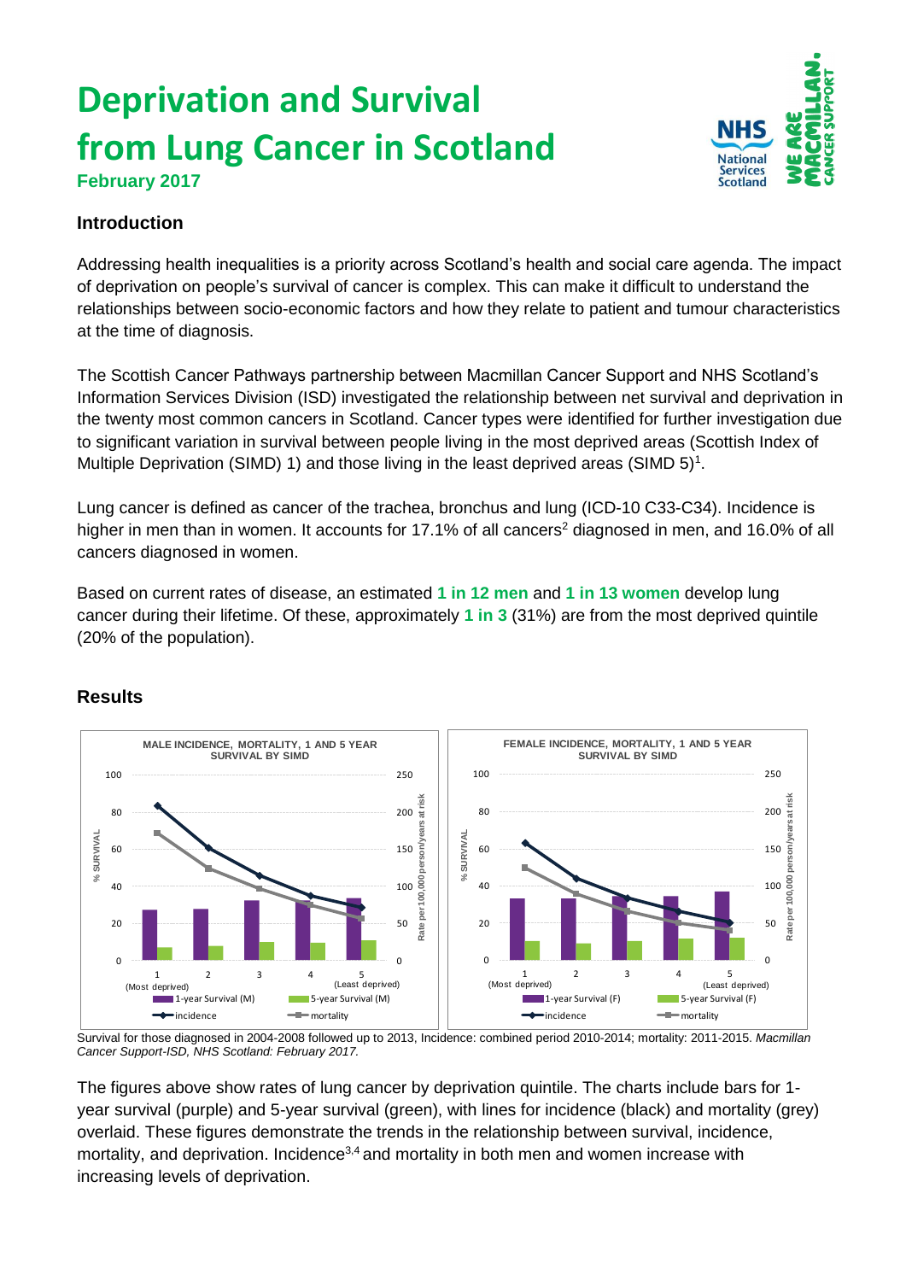## **Deprivation and Survival from Lung Cancer in Scotland February 2017**



## **Introduction**

Addressing health inequalities is a priority across Scotland's health and social care agenda. The impact of deprivation on people's survival of cancer is complex. This can make it difficult to understand the relationships between socio-economic factors and how they relate to patient and tumour characteristics at the time of diagnosis.

The Scottish Cancer Pathways partnership between Macmillan Cancer Support and NHS Scotland's Information Services Division (ISD) investigated the relationship between net survival and deprivation in the twenty most common cancers in Scotland. Cancer types were identified for further investigation due to significant variation in survival between people living in the most deprived areas (Scottish Index of Multiple Deprivation (SIMD) 1) and those living in the least deprived areas (SIMD  $5$ <sup>1</sup>.

Lung cancer is defined as cancer of the trachea, bronchus and lung (ICD-10 C33-C34). Incidence is higher in men than in women. It accounts for 17.1% of all cancers<sup>2</sup> diagnosed in men, and 16.0% of all cancers diagnosed in women.

Based on current rates of disease, an estimated **1 in 12 men** and **1 in 13 women** develop lung cancer during their lifetime. Of these, approximately **1 in 3** (31%) are from the most deprived quintile (20% of the population).

## **Results**



Survival for those diagnosed in 2004-2008 followed up to 2013, Incidence: combined period 2010-2014; mortality: 2011-2015. *Macmillan Cancer Support-ISD, NHS Scotland: February 2017.*

The figures above show rates of lung cancer by deprivation quintile. The charts include bars for 1 year survival (purple) and 5-year survival (green), with lines for incidence (black) and mortality (grey) overlaid. These figures demonstrate the trends in the relationship between survival, incidence, mortality, and deprivation. Incidence<sup>3,4</sup> and mortality in both men and women increase with increasing levels of deprivation.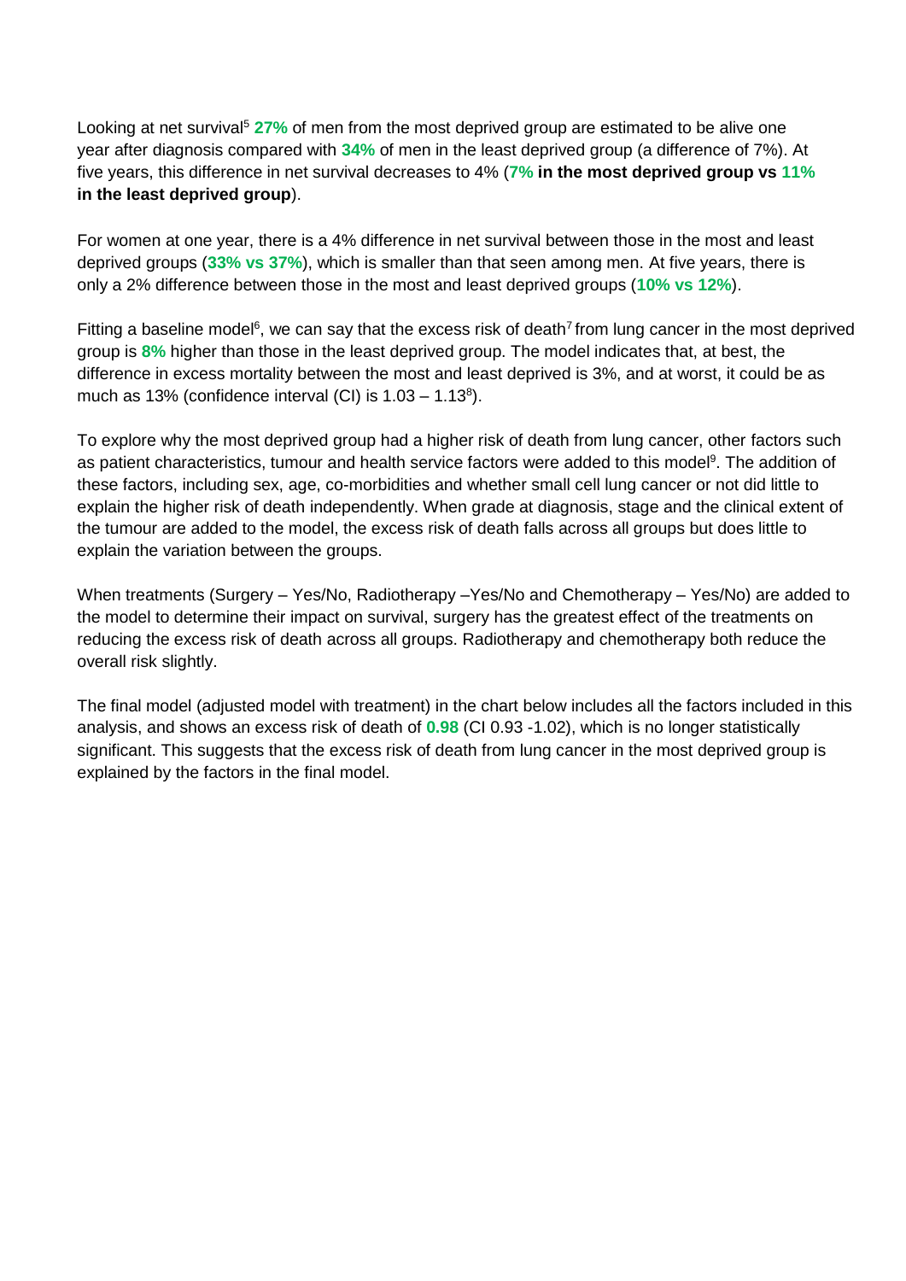Looking at net survival<sup>5</sup> 27% of men from the most deprived group are estimated to be alive one year after diagnosis compared with **34%** of men in the least deprived group (a difference of 7%). At five years, this difference in net survival decreases to 4% (**7% in the most deprived group vs 11% in the least deprived group**).

For women at one year, there is a 4% difference in net survival between those in the most and least deprived groups (**33% vs 37%**), which is smaller than that seen among men. At five years, there is only a 2% difference between those in the most and least deprived groups (**10% vs 12%**).

Fitting a baseline model<sup>6</sup>, we can say that the excess risk of death<sup>7</sup> from lung cancer in the most deprived group is **8%** higher than those in the least deprived group. The model indicates that, at best, the difference in excess mortality between the most and least deprived is 3%, and at worst, it could be as much as 13% (confidence interval (CI) is  $1.03 - 1.13<sup>8</sup>$ ).

To explore why the most deprived group had a higher risk of death from lung cancer, other factors such as patient characteristics, tumour and health service factors were added to this model<sup>9</sup>. The addition of these factors, including sex, age, co-morbidities and whether small cell lung cancer or not did little to explain the higher risk of death independently. When grade at diagnosis, stage and the clinical extent of the tumour are added to the model, the excess risk of death falls across all groups but does little to explain the variation between the groups.

When treatments (Surgery – Yes/No, Radiotherapy –Yes/No and Chemotherapy – Yes/No) are added to the model to determine their impact on survival, surgery has the greatest effect of the treatments on reducing the excess risk of death across all groups. Radiotherapy and chemotherapy both reduce the overall risk slightly.

The final model (adjusted model with treatment) in the chart below includes all the factors included in this analysis, and shows an excess risk of death of **0.98** (CI 0.93 -1.02), which is no longer statistically significant. This suggests that the excess risk of death from lung cancer in the most deprived group is explained by the factors in the final model.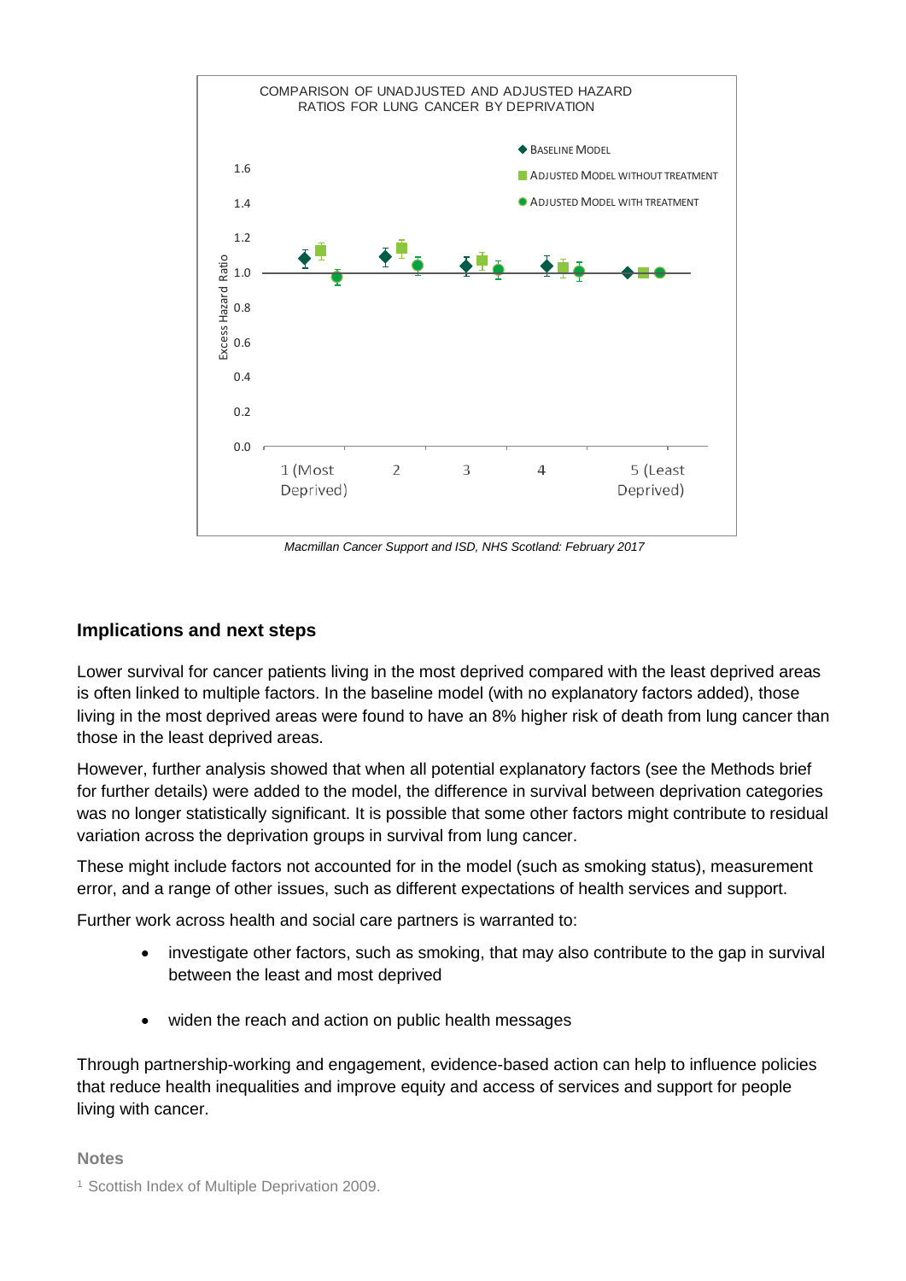

*Macmillan Cancer Support and ISD, NHS Scotland: February 2017*

## **Implications and next steps**

Lower survival for cancer patients living in the most deprived compared with the least deprived areas is often linked to multiple factors. In the baseline model (with no explanatory factors added), those living in the most deprived areas were found to have an 8% higher risk of death from lung cancer than those in the least deprived areas.

However, further analysis showed that when all potential explanatory factors (see the Methods brief for further details) were added to the model, the difference in survival between deprivation categories was no longer statistically significant. It is possible that some other factors might contribute to residual variation across the deprivation groups in survival from lung cancer.

These might include factors not accounted for in the model (such as smoking status), measurement error, and a range of other issues, such as different expectations of health services and support.

Further work across health and social care partners is warranted to:

- investigate other factors, such as smoking, that may also contribute to the gap in survival between the least and most deprived
- widen the reach and action on public health messages

Through partnership-working and engagement, evidence-based action can help to influence policies that reduce health inequalities and improve equity and access of services and support for people living with cancer.

**Notes**

<sup>&</sup>lt;sup>1</sup> Scottish Index of Multiple Deprivation 2009.